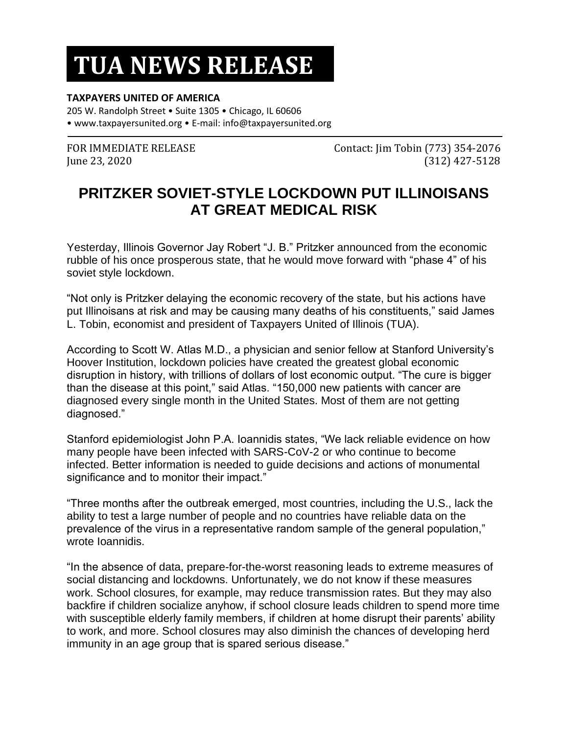## **TUA NEWS RELEASE**

## **TAXPAYERS UNITED OF AMERICA**

205 W. Randolph Street • Suite 1305 • Chicago, IL 60606 • www.taxpayersunited.org • E-mail: info@taxpayersunited.org

FOR IMMEDIATE RELEASE Contact: Jim Tobin (773) 354-2076 June 23, 2020 (312) 427-5128

## **PRITZKER SOVIET-STYLE LOCKDOWN PUT ILLINOISANS AT GREAT MEDICAL RISK**

Yesterday, Illinois Governor Jay Robert "J. B." Pritzker announced from the economic rubble of his once prosperous state, that he would move forward with "phase 4" of his soviet style lockdown.

"Not only is Pritzker delaying the economic recovery of the state, but his actions have put Illinoisans at risk and may be causing many deaths of his constituents," said James L. Tobin, economist and president of Taxpayers United of Illinois (TUA).

According to Scott W. Atlas M.D., a physician and senior fellow at Stanford University's Hoover Institution, lockdown policies have created the greatest global economic disruption in history, with trillions of dollars of lost economic output. "The cure is bigger than the disease at this point," said Atlas. "150,000 new patients with cancer are diagnosed every single month in the United States. Most of them are not getting diagnosed."

Stanford epidemiologist John P.A. Ioannidis states, "We lack reliable evidence on how many people have been infected with SARS-CoV-2 or who continue to become infected. Better information is needed to guide decisions and actions of monumental significance and to monitor their impact."

"Three months after the outbreak emerged, most countries, including the U.S., lack the ability to test a large number of people and no countries have reliable data on the prevalence of the virus in a representative random sample of the general population," wrote Ioannidis.

"In the absence of data, prepare-for-the-worst reasoning leads to extreme measures of social distancing and lockdowns. Unfortunately, we do not know if these measures work. School closures, for example, may reduce transmission rates. But they may also backfire if children socialize anyhow, if school closure leads children to spend more time with susceptible elderly family members, if children at home disrupt their parents' ability to work, and more. School closures may also diminish the chances of developing herd immunity in an age group that is spared serious disease."